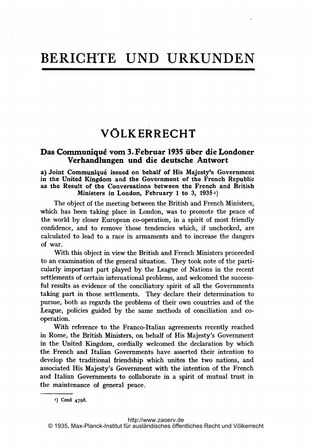# BERICHTE UND URKUNDEN

## VOLKERRECHT

#### Das Communique vom 3. Februar <sup>1935</sup> über die Londoner Verhandlungen und die deutsche Antwort

a) Joint Communiqué issued on behalf of His Majesty's Government in the United Kingdom and the Government of the French Republic as the Result of the Conversations between the French and British Ministers in London, February 1 to 3,  $1935<sup>T</sup>$ )

The object of the meeting between the British and French Ministers, which has been taking place in London, was to promote the peace of the world by closer European co-operation, in a spirit of most friendly confidence, and to remove 'those tendencies which, if unchecked, are calculated to lead to a race in armaments and to increase the dangers of war.

With this object in view the British and French Ministers proceeded to an examination of the general situation. They took note of the particularly important part played by the League of Nations in the recent settlements of certain international problems, and welcomed the successful results as evidence of the conciliatory spirit of all the Governments taking part in those settlements. They declare their determination to pursue, both as regards the problems of their own countries and of the League, policies guided by the same methods of conciliation and cooperation.

With reference to the Franco-Italian agreements recently reached in Rome, the British Ministers, on behalf of His Majesty's Government in the United Kingdom, cordially welcomed the declaration by which the French and Italian Governments have asserted their intention to develop the traditional friendship which unites the two nations, and associated His Majesty's Government with the intention of the French and Italian Governments to collaborate in a spirit of mutual trust in the maintenance of general peace.

x) Cmd 4798.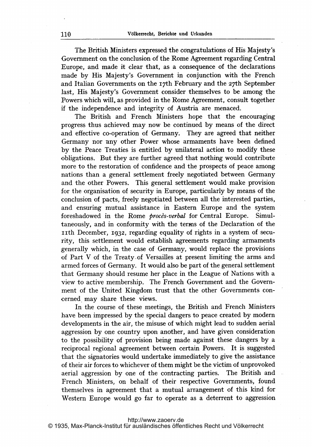The British Ministers expressed the congratulations of His Majesty's Government on the conclusion of the Rome Agreement regarding Central Europe, and made it clear that, as a consequence of the declarations made by His Majesty's Government in conjunction with the French and Italian Governments on the 17th February and the 27th September last, His Majesty's Government consider themselves to be among the Powers which will, as provided in the Rome Agreement, consult together if the independence and integrity of Austria are menaced.

The British and French Ministers hope that the encouraging progress thus achieved may now be continued by means of the direct and effective co-operation of Germany. They are agreed that neither Germany nor any other Power whose armaments have been defined by the Peace Treaties is entitled by unilateral action to modify these obligations. But they are further agreed that nothing would contribute more to the restoration of confidence and the prospects of peace among nations than a general settlement freely negotiated between Germany and the other Powers. This general settlement would make provision for the organisation of security in Europe, particularly by means of the conclusion of pacts, freely negotiated between all the interested parties, and ensuring mutual assistance in Eastern Europe and the system foreshadowed in the Rome proces-verbal for Central Europe. Simultaneously, and in conformity with the terms of the Declaration of the 11th December, 1932, regarding equality of rights in a system of security, this settlement would establish agreements regarding armaments generally which, in the case of Germany, would replace the provisions of Part V of the Treaty-of Versailles at present limiting the arms and armed forces of Germany. It would also be part of the general settlement that Germany should resume her place in the League of Nations with a view to active membership. The French Government and the Government of the United Kingdom trust that the other Governments concerned may share these views.

In the course of these meetings, the British and French Ministers have been impressed by the special dangers to peace created by modern developments in the air, the misuse of which might lead to sudden aerial aggression by one country upon another, and have given consideration to the possibility of provision being made against these dangers by a reciprocal regional agreement between certain Powers. It is suggested that the signatories would undertake immediately to give the assistance of their air forces to whichever of them might be the victim of unprovoked aerial aggression by one of the contracting parties. The British and French Ministers, on behalf of their respective Governments, found themselves in agreement that a mutual arrangement of this kind for Western Europe would go far to operate as a deterrent to aggression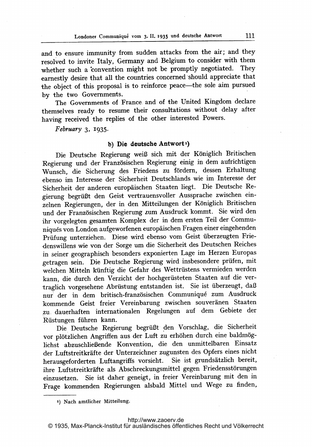and to ensure immunity from sudden attacks from the air; and they resolved to invite Italy, Germany and, Belgium to consider with them whether such a 'convention might not be promptly negotiated. They earnestly desire that all the countries concerned should appreciate that the object of this proposal is to reinforce peace-the sole aim pursued by the two Governments.

The Governments of France. and of the United Kingdom declare themselves ready to resume their consultations without delay after having received the replies of the other interested Powers.

 $February\, 3, \, 1935.$ 

#### b) Die deutsche Antwort<sup>2</sup>)

Die Deutsche Regierung weiß sich mit der Königlich Britischen Regierung und der Französischen Regierung einig in dem aufrichtigen Wunsch, die Sicherung des Friedens zu fördern, dessen Erhaltung ,ebenso im Interesse der Sicherheit Deutschlands wie im Interesse der Sicherheit der anderen europäischen Staaten liegt. Die Deutsche Regierung begrüßt den Geist vertrauensvoller Aussprache zwischen einzelnen Regierungen, der in den Mitteilungen der Königlich Britischen und der Französischen Regierung zum Ausdruck kommt. Sie wird den ihr vorgelegten gesamten Komplex der in dem ersten Teil der Commu- -niqu6s von London aufgeworfenen europäischen Fragen einer eingehenden Prüfung unterziehen. Diese wird ebenso vom Geist überzeugten Frie- ,denswillens wie von der Sorge um die Sicherheit des Deutschen Reiches in seiner geographisch besonders exponierten Lage im Herzen Europas getragen sein. Die Deutsche Regierung wird insbesondere prüfen, mit welchen Mitteln künftig die Gefahr des Wettrüstens vermieden werden kann, die durch den Verzicht der hochgerüsteten Staaten auf die vertraglich vorgesehene Abrüstung entstanden ist. Sie ist überzeugt, daß nur der in dem britisch-französischen Communiqué zum Ausdruck kommende Geist freier Vereinbarung zwischen souveränen Staaten .zu. dauerhaften internationalen Regelungen auf dem Gebiete der Rüstungen führen kann.

Die> Deutsche Regierung begrüßt- den Vorschlag, die Sicherheit vor plötzlichen Angriffen aus der Luft zu erhöhen durch eine baldmöglichst abzuschließende Konvention, die den unmittelbaren Einsatz der Luftstreitkräfte der Unterzeichner zugunsten des Opfers eines nicht .herausgeforderten Luftangriffs vorsieht. Sie ist grundsätzlich bereit, ihre Luftstreitkräfte als Abschreckungsmittel gegen Friedensstörungen einzusetzen. Sie ist daher geneigt, in freier Vereinbarung mit den in Frage kommenden Regierungen alsbald Mittel und Wege zu finden,

<sup>2,)</sup> Nach amtlicher Mitteilung.